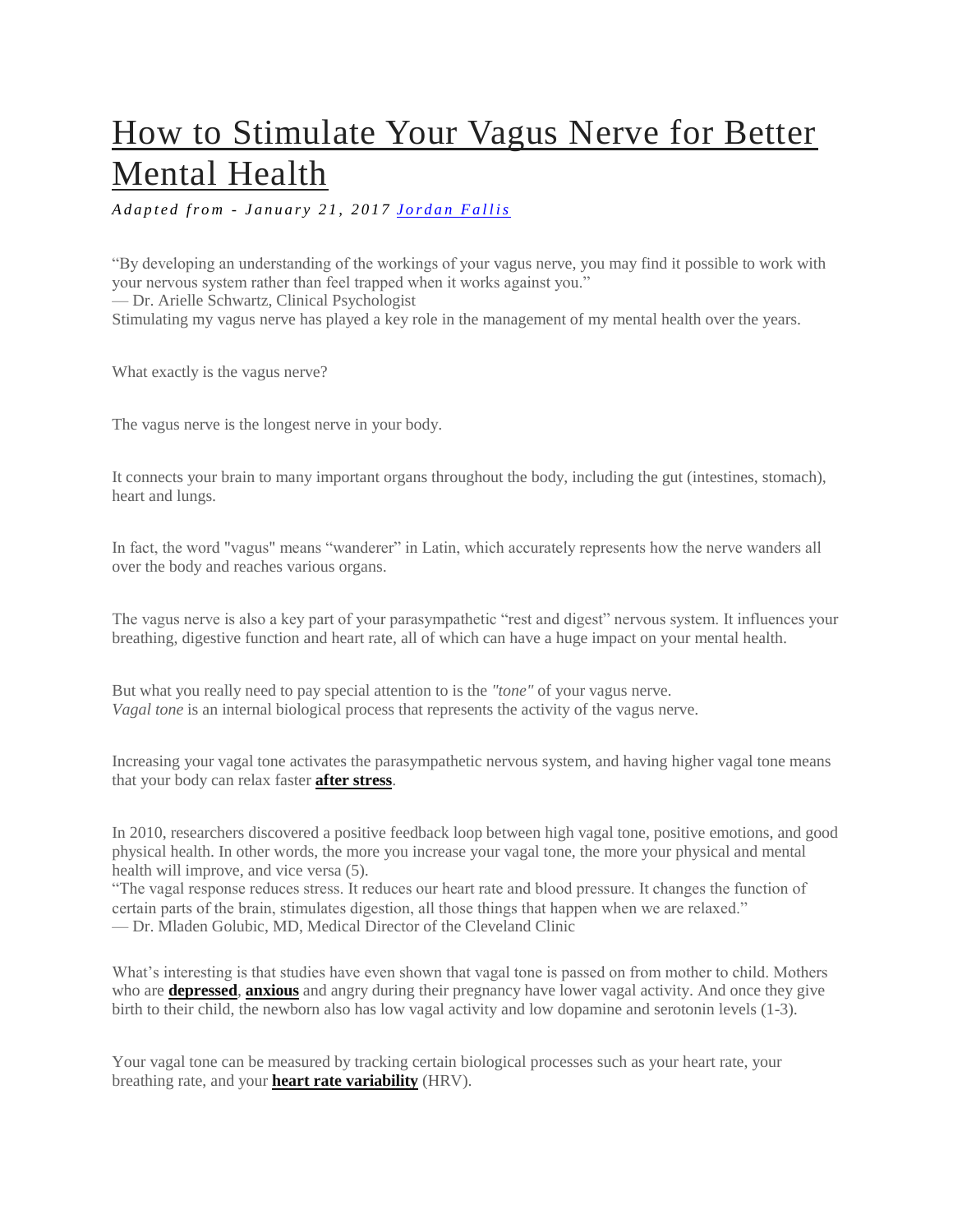# [How to Stimulate Your Vagus Nerve for Better](http://www.optimallivingdynamics.com/blog/how-to-stimulate-your-vagus-nerve-for-better-mental-health-brain-vns-ways-treatment-activate-natural-foods-depression-anxiety-stress-heart-rate-variability-yoga-massage-vagal-tone-dysfunction)  [Mental Health](http://www.optimallivingdynamics.com/blog/how-to-stimulate-your-vagus-nerve-for-better-mental-health-brain-vns-ways-treatment-activate-natural-foods-depression-anxiety-stress-heart-rate-variability-yoga-massage-vagal-tone-dysfunction)

*A d a p t e d f r o m - J a n u a r y 2 1 , 2 0 1 7 [J o r d a n F a l l i s](http://www.optimallivingdynamics.com/blog/?author=55832ca0e4b0fe87a727e7ed)*

"By developing an understanding of the workings of your vagus nerve, you may find it possible to work with your nervous system rather than feel trapped when it works against you." — Dr. Arielle Schwartz, Clinical Psychologist Stimulating my vagus nerve has played a key role in the management of my mental health over the years.

What exactly is the vagus nerve?

The vagus nerve is the longest nerve in your body.

It connects your brain to many important organs throughout the body, including the gut (intestines, stomach), heart and lungs.

In fact, the word "vagus" means "wanderer" in Latin, which accurately represents how the nerve wanders all over the body and reaches various organs.

The vagus nerve is also a key part of your parasympathetic "rest and digest" nervous system. It influences your breathing, digestive function and heart rate, all of which can have a huge impact on your mental health.

But what you really need to pay special attention to is the *"tone"* of your vagus nerve. *Vagal tone* is an internal biological process that represents the activity of the vagus nerve.

Increasing your vagal tone activates the parasympathetic nervous system, and having higher vagal tone means that your body can relax faster **[after stress](http://www.optimallivingdynamics.com/blog/20-proven-ways-to-effectively-lower-your-stress-hormone-reduce-counteract-manage-cortisol-decrease-levels-for-brain-mental-health-anxiety-depression-cognitive-function-foods-nutrients-herbs-supplements-adaptogens-adrenals-naturally-tips)**.

In 2010, researchers discovered a positive feedback loop between high vagal tone, positive emotions, and good physical health. In other words, the more you increase your vagal tone, the more your physical and mental health will improve, and vice versa (5).

"The vagal response reduces stress. It reduces our heart rate and blood pressure. It changes the function of certain parts of the brain, stimulates digestion, all those things that happen when we are relaxed." — Dr. Mladen Golubic, MD, Medical Director of the Cleveland Clinic

What's interesting is that studies have even shown that vagal tone is passed on from mother to child. Mothers who are **[depressed](http://www.optimallivingdynamics.com/blog/the-best-amino-acid-for-depression-anxiety-and-pain-dlpa-phenylalanine-supplement-brain-mental-health-benefits-dosage-foods-buy-adhd-tyrosine-uses-opiate-addiction-withdrawal-dopa-mucuna)**, **[anxious](http://www.optimallivingdynamics.com/blog/do-you-have-chronic-stress-and-anxiety-these-two-minerals-might-be-the-cause)** and angry during their pregnancy have lower vagal activity. And once they give birth to their child, the newborn also has low vagal activity and low dopamine and serotonin levels (1-3).

Your vagal tone can be measured by tracking certain biological processes such as your heart rate, your breathing rate, and your **[heart rate variability](https://en.wikipedia.org/wiki/Heart_rate_variability)** (HRV).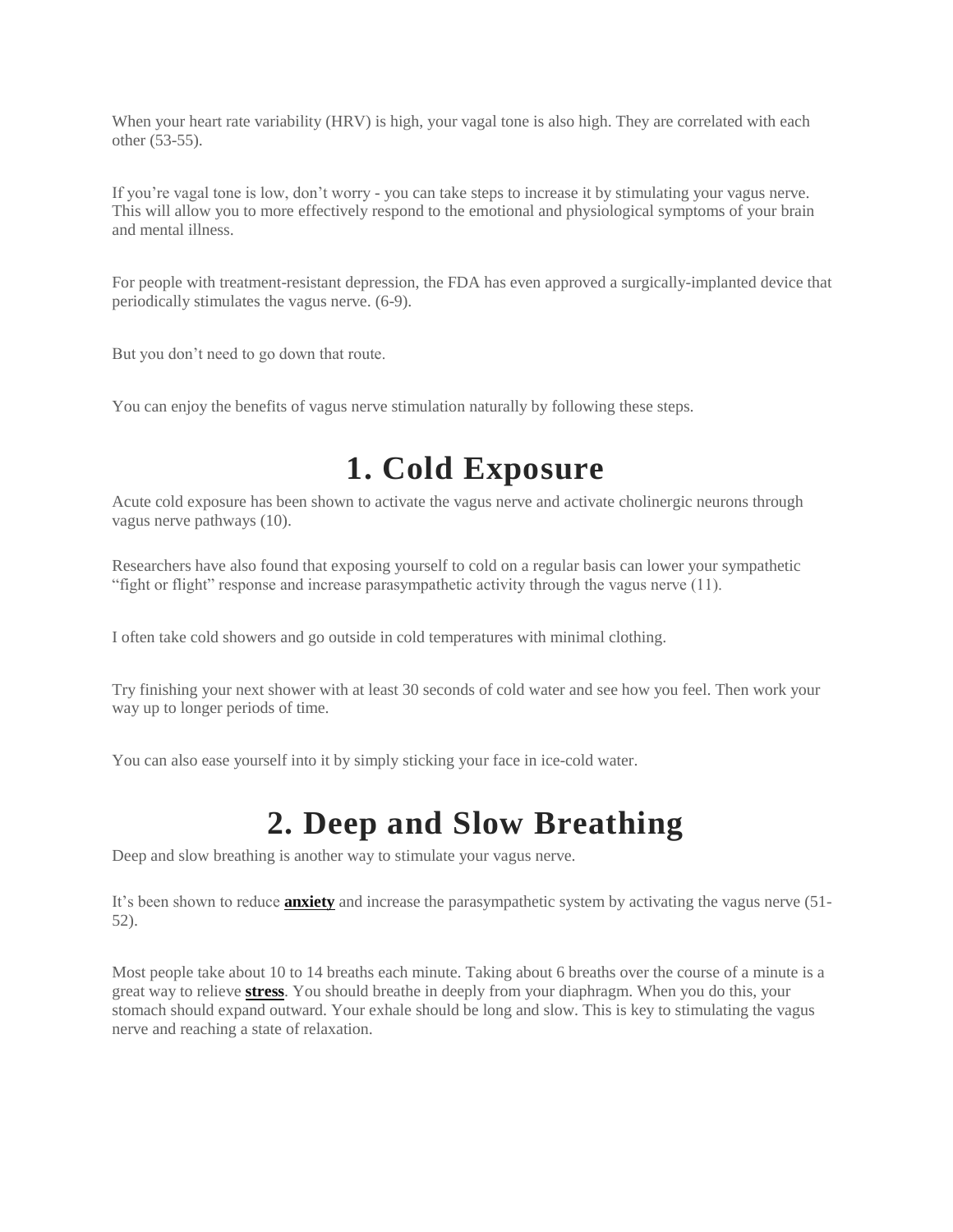When your heart rate variability (HRV) is high, your vagal tone is also high. They are correlated with each other (53-55).

If you're vagal tone is low, don't worry - you can take steps to increase it by stimulating your vagus nerve. This will allow you to more effectively respond to the emotional and physiological symptoms of your brain and mental illness.

For people with treatment-resistant depression, the FDA has even approved a surgically-implanted device that periodically stimulates the vagus nerve. (6-9).

But you don't need to go down that route.

You can enjoy the benefits of vagus nerve stimulation naturally by following these steps.

#### **1. Cold Exposure**

Acute cold exposure has been shown to activate the vagus nerve and activate cholinergic neurons through vagus nerve pathways (10).

Researchers have also found that exposing yourself to cold on a regular basis can lower your sympathetic "fight or flight" response and increase parasympathetic activity through the vagus nerve (11).

I often take cold showers and go outside in cold temperatures with minimal clothing.

Try finishing your next shower with at least 30 seconds of cold water and see how you feel. Then work your way up to longer periods of time.

You can also ease yourself into it by simply sticking your face in ice-cold water.

#### **2. Deep and Slow Breathing**

Deep and slow breathing is another way to stimulate your vagus nerve.

It's been shown to reduce **[anxiety](http://www.optimallivingdynamics.com/blog/do-you-have-chronic-stress-and-anxiety-these-two-minerals-might-be-the-cause)** and increase the parasympathetic system by activating the vagus nerve (51- 52).

Most people take about 10 to 14 breaths each minute. Taking about 6 breaths over the course of a minute is a great way to relieve **[stress](http://www.optimallivingdynamics.com/blog/20-proven-ways-to-effectively-lower-your-stress-hormone-reduce-counteract-manage-cortisol-decrease-levels-for-brain-mental-health-anxiety-depression-cognitive-function-foods-nutrients-herbs-supplements-adaptogens-adrenals-naturally-tips)**. You should breathe in deeply from your diaphragm. When you do this, your stomach should expand outward. Your exhale should be long and slow. This is key to stimulating the vagus nerve and reaching a state of relaxation.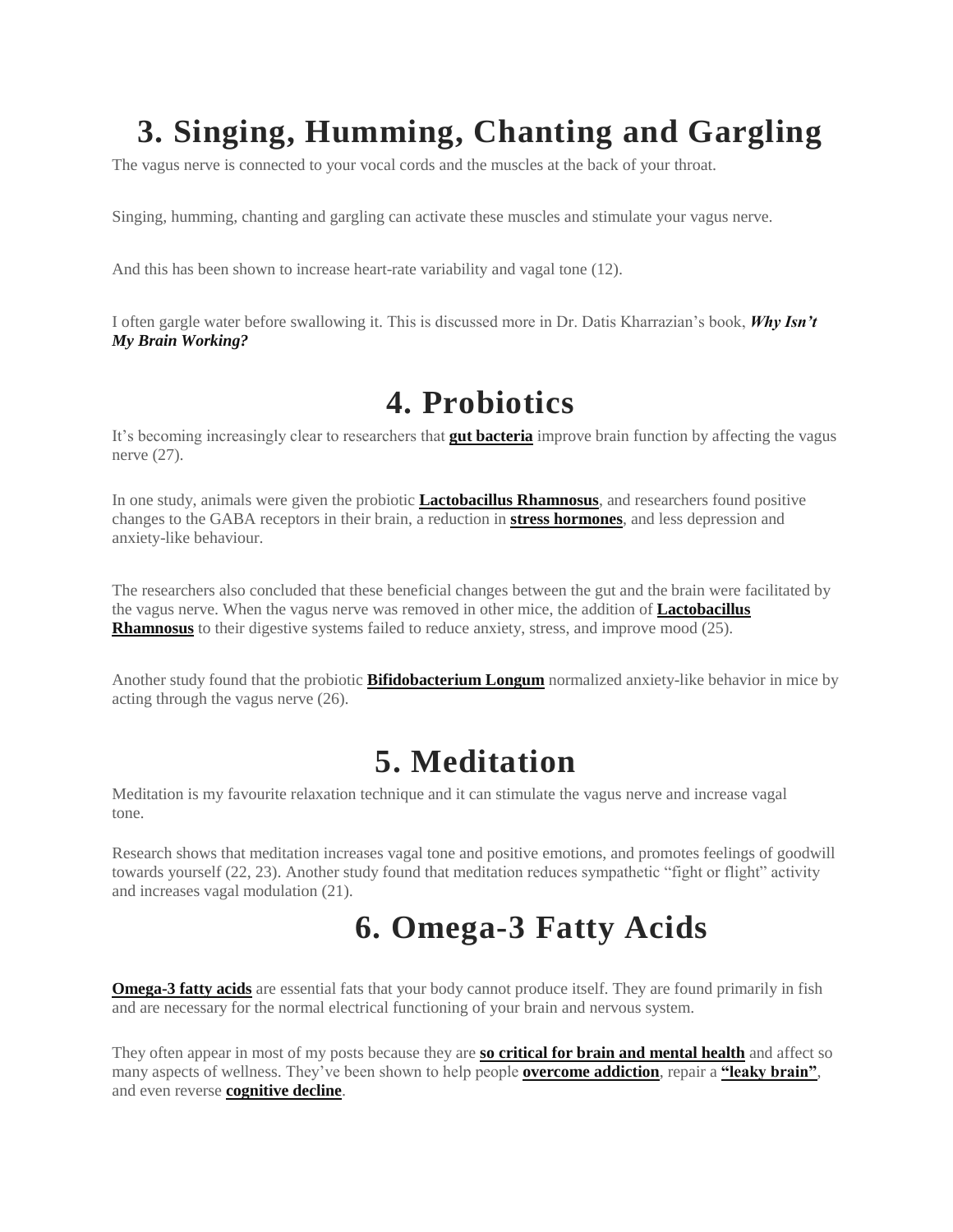# **3. Singing, Humming, Chanting and Gargling**

The vagus nerve is connected to your vocal cords and the muscles at the back of your throat.

Singing, humming, chanting and gargling can activate these muscles and stimulate your vagus nerve.

And this has been shown to increase heart-rate variability and vagal tone (12).

I often gargle water before swallowing it. This is discussed more in Dr. Datis Kharrazian's book, *[Why Isn't](http://geni.us/Pnl6uO)  [My Brain Working?](http://geni.us/Pnl6uO)*

#### **4. Probiotics**

It's becoming increasingly clear to researchers that **[gut bacteria](http://www.optimallivingdynamics.com/blog/5-ways-to-increase-your-good-bacteria-for-a-more-resilient-brain)** improve brain function by affecting the vagus nerve (27).

In one study, animals were given the probiotic **[Lactobacillus Rhamnosus](http://geni.us/J2UWX)**, and researchers found positive changes to the GABA receptors in their brain, a reduction in **[stress hormones](http://www.optimallivingdynamics.com/blog/20-proven-ways-to-effectively-lower-your-stress-hormone-reduce-counteract-manage-cortisol-decrease-levels-for-brain-mental-health-anxiety-depression-cognitive-function-foods-nutrients-herbs-supplements-adaptogens-adrenals-naturally-tips)**, and less depression and anxiety-like behaviour.

The researchers also concluded that these beneficial changes between the gut and the brain were facilitated by the vagus nerve. When the vagus nerve was removed in other mice, the addition of **[Lactobacillus](http://geni.us/J2UWX)  [Rhamnosus](http://geni.us/J2UWX)** to their digestive systems failed to reduce anxiety, stress, and improve mood (25).

Another study found that the probiotic **[Bifidobacterium Longum](http://geni.us/J2UWX)** normalized anxiety-like behavior in mice by acting through the vagus nerve (26).

### **5. Meditation**

Meditation is my favourite relaxation technique and it can stimulate the vagus nerve and increase vagal tone.

Research shows that meditation increases vagal tone and positive emotions, and promotes feelings of goodwill towards yourself (22, 23). Another study found that meditation reduces sympathetic "fight or flight" activity and increases vagal modulation (21).

### **6. Omega-3 Fatty Acids**

**[Omega-3 fatty acids](https://www.onnit.com/krill-oil/?a_aid=5748574f3bcc5)** are essential fats that your body cannot produce itself. They are found primarily in fish and are necessary for the normal electrical functioning of your brain and nervous system.

They often appear in most of my posts because they are **[so critical for brain and mental health](http://www.optimallivingdynamics.com/blog/3-important-nutrients-that-will-actually-support-your-brain)** and affect so many aspects of wellness. They've been shown to help people **[overcome addiction](http://www.optimallivingdynamics.com/blog/9-nutrients-proven-to-help-you-overcome-addiction-and-withdrawal-nutrition-recovery-vitamins-minerals-amino-acid-symptoms-supplements-diet-substance-drug-abuse-syndrome-cravings-opiate-alcoholism-food)**, repair a **["leaky brain"](http://www.optimallivingdynamics.com/blog/how-to-repair-a-leaky-blood-brain-barrier-ways-heal-fix-supplements-mental-health-neuroinflammation-treatments-causes-gaba-injury-hyperpermeability)**, and even reverse **[cognitive decline](http://www.optimallivingdynamics.com/blog/how-to-reverse-cognitive-decline-and-dementia-19-ways-alzheimers-disease-memory-loss-mild-impairment-prevention-treatment-natural-therapies-diet-foods-supplements-dale-bredesen-protocol-ucla-aging-program-symptoms)**.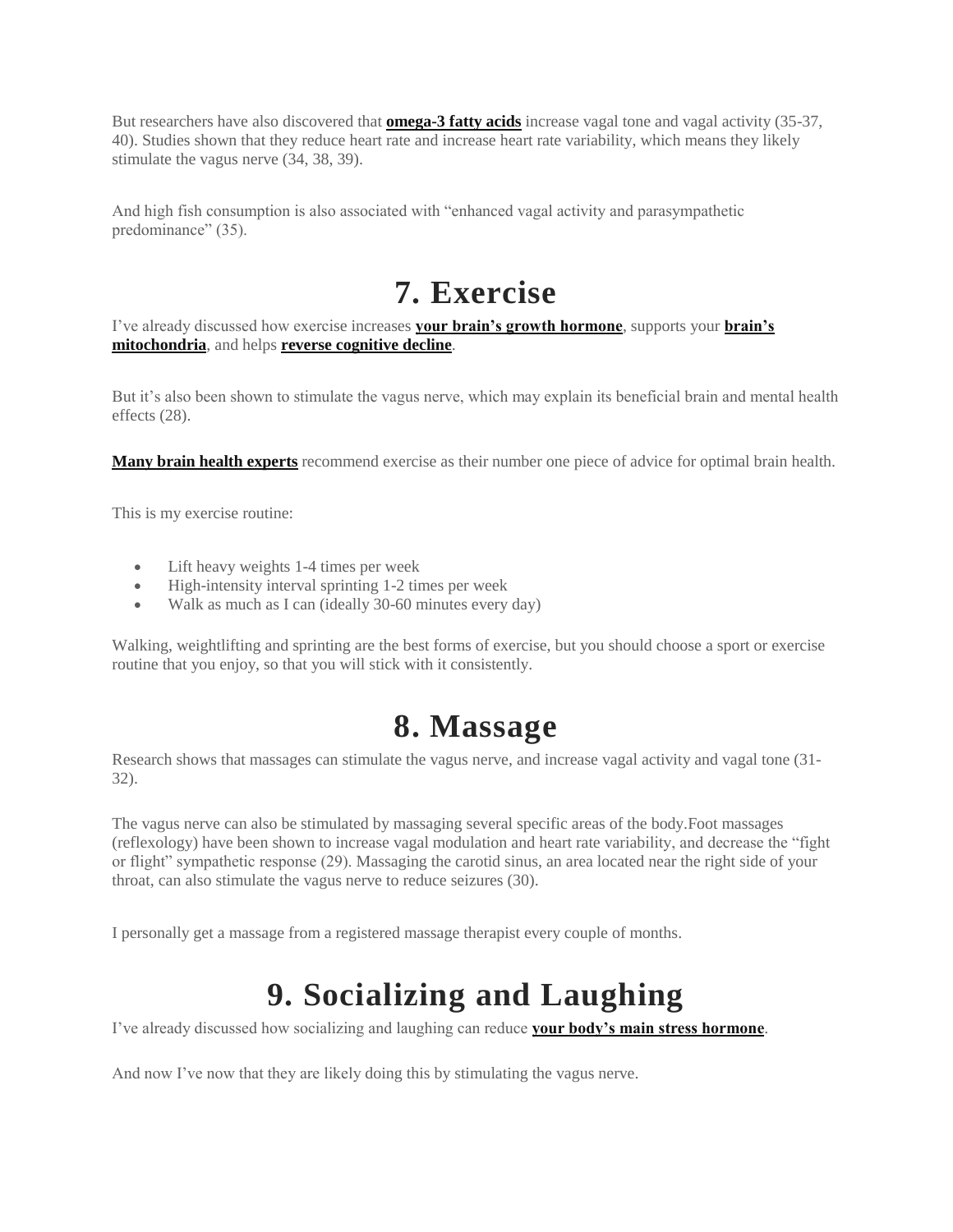But researchers have also discovered that **[omega-3 fatty acids](https://www.onnit.com/krill-oil/?a_aid=5748574f3bcc5)** increase vagal tone and vagal activity (35-37, 40). Studies shown that they reduce heart rate and increase heart rate variability, which means they likely stimulate the vagus nerve (34, 38, 39).

And high fish consumption is also associated with "enhanced vagal activity and parasympathetic predominance" (35).

### **7. Exercise**

I've already discussed how exercise increases **[your brain's growth hormone](http://www.optimallivingdynamics.com/blog/21-proven-ways-to-increase-your-brains-growth-hormone)**, supports your **[brain's](http://www.optimallivingdynamics.com/blog/how-to-support-your-mitochondria-for-better-brain-health-mental-boost-increase-optimize-restore-repair-function-depression-fatigue-energy-foods-supplements-naturally-biogenesis)  [mitochondria](http://www.optimallivingdynamics.com/blog/how-to-support-your-mitochondria-for-better-brain-health-mental-boost-increase-optimize-restore-repair-function-depression-fatigue-energy-foods-supplements-naturally-biogenesis)**, and helps **[reverse cognitive decline](http://www.optimallivingdynamics.com/blog/how-to-reverse-cognitive-decline-and-dementia-19-ways-alzheimers-disease-memory-loss-mild-impairment-prevention-treatment-natural-therapies-diet-foods-supplements-dale-bredesen-protocol-ucla-aging-program-symptoms)**.

But it's also been shown to stimulate the vagus nerve, which may explain its beneficial brain and mental health effects (28).

**Many [brain health experts](http://www.optimallivingdynamics.com/blog/30-experts-share-their-best-advice-for-brain-health)** recommend exercise as their number one piece of advice for optimal brain health.

This is my exercise routine:

- Lift heavy weights 1-4 times per week
- High-intensity interval sprinting 1-2 times per week
- Walk as much as I can (ideally 30-60 minutes every day)

Walking, weightlifting and sprinting are the best forms of exercise, but you should choose a sport or exercise routine that you enjoy, so that you will stick with it consistently.

#### **8. Massage**

Research shows that massages can stimulate the vagus nerve, and increase vagal activity and vagal tone (31- 32).

The vagus nerve can also be stimulated by massaging several specific areas of the body.Foot massages (reflexology) have been shown to increase vagal modulation and heart rate variability, and decrease the "fight or flight" sympathetic response (29). Massaging the carotid sinus, an area located near the right side of your throat, can also stimulate the vagus nerve to reduce seizures (30).

I personally get a massage from a registered massage therapist every couple of months.

# **9. Socializing and Laughing**

I've already discussed how socializing and laughing can reduce **[your body's main stress hormone](http://www.optimallivingdynamics.com/blog/20-proven-ways-to-effectively-lower-your-stress-hormone-reduce-counteract-manage-cortisol-decrease-levels-for-brain-mental-health-anxiety-depression-cognitive-function-foods-nutrients-herbs-supplements-adaptogens-adrenals-naturally-tips)**.

And now I've now that they are likely doing this by stimulating the vagus nerve.